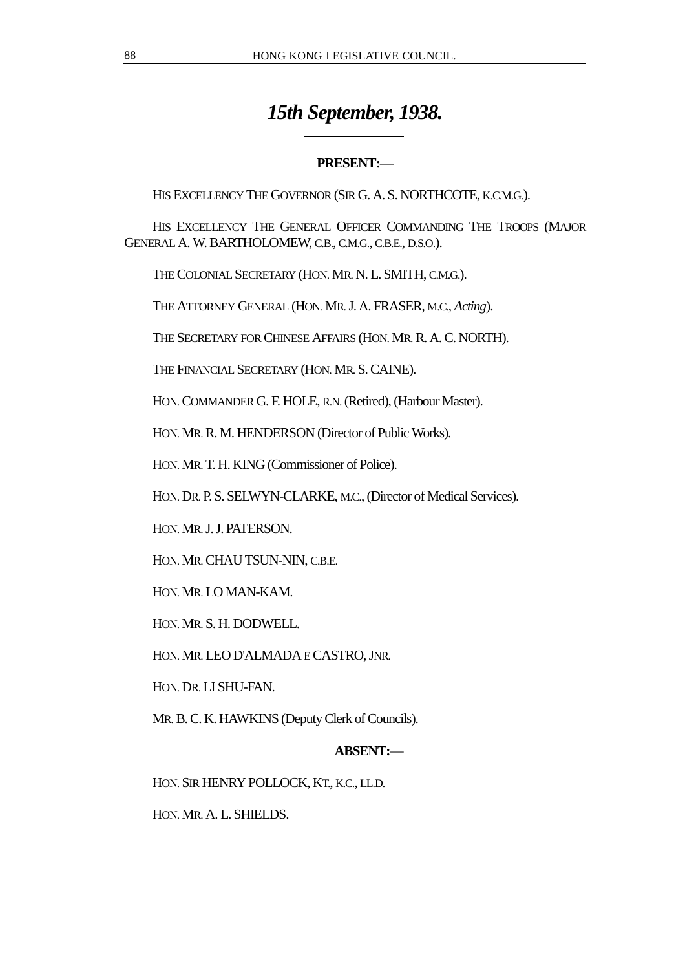# *15th September, 1938.*

# **PRESENT:**—

HIS EXCELLENCY THE GOVERNOR (SIR G. A. S. NORTHCOTE, K.C.M.G.).

HIS EXCELLENCY THE GENERAL OFFICER COMMANDING THE TROOPS (MAJOR GENERAL A. W. BARTHOLOMEW, C.B., C.M.G., C.B.E., D.S.O.).

THE COLONIAL SECRETARY (HON. MR. N. L. SMITH, C.M.G.).

 $\overline{a}$ 

THE ATTORNEY GENERAL (HON. MR. J. A. FRASER, M.C., *Acting*).

THE SECRETARY FOR CHINESE AFFAIRS (HON. MR. R. A. C. NORTH).

THE FINANCIAL SECRETARY (HON. MR. S. CAINE).

HON. COMMANDER G. F. HOLE, R.N. (Retired), (Harbour Master).

HON. MR. R. M. HENDERSON (Director of Public Works).

HON. MR. T. H. KING (Commissioner of Police).

HON. DR. P. S. SELWYN-CLARKE, M.C., (Director of Medical Services).

HON. MR. J. J. PATERSON.

HON. MR. CHAU TSUN-NIN, C.B.E.

HON. MR. LO MAN-KAM.

HON. MR. S. H. DODWELL.

HON. MR. LEO D'ALMADA E CASTRO, JNR.

HON. DR. LI SHU-FAN.

MR. B. C. K. HAWKINS (Deputy Clerk of Councils).

# **ABSENT:**—

HON. SIR HENRY POLLOCK, KT., K.C., LL.D.

HON. MR. A. L. SHIELDS.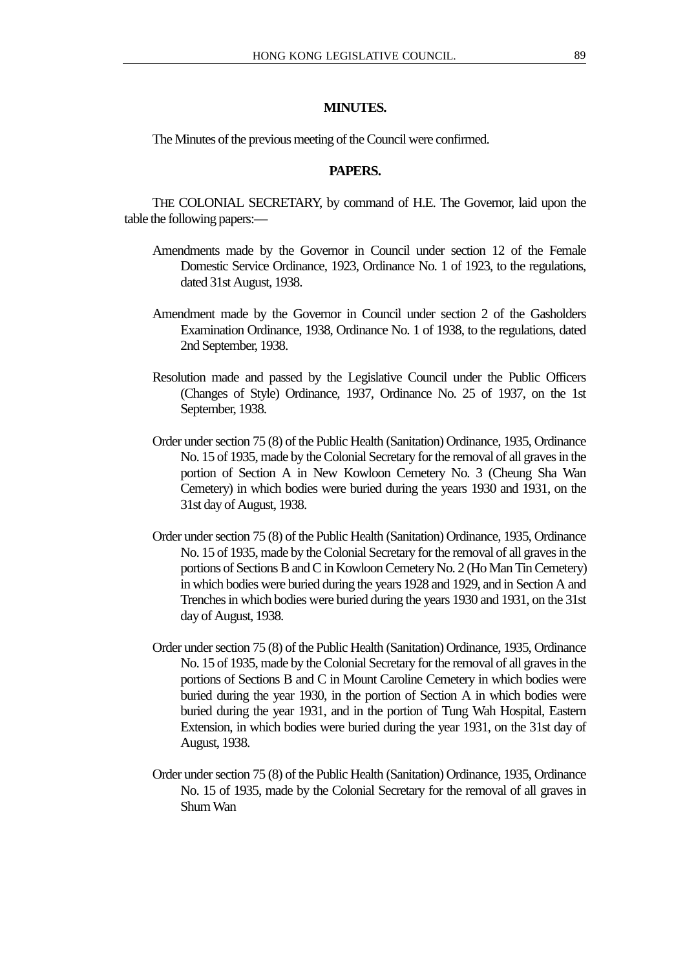#### **MINUTES.**

The Minutes of the previous meeting of the Council were confirmed.

#### **PAPERS.**

THE COLONIAL SECRETARY, by command of H.E. The Governor, laid upon the table the following papers:—

- Amendments made by the Governor in Council under section 12 of the Female Domestic Service Ordinance, 1923, Ordinance No. 1 of 1923, to the regulations, dated 31st August, 1938.
- Amendment made by the Governor in Council under section 2 of the Gasholders Examination Ordinance, 1938, Ordinance No. 1 of 1938, to the regulations, dated 2nd September, 1938.
- Resolution made and passed by the Legislative Council under the Public Officers (Changes of Style) Ordinance, 1937, Ordinance No. 25 of 1937, on the 1st September, 1938.
- Order under section 75 (8) of the Public Health (Sanitation) Ordinance, 1935, Ordinance No. 15 of 1935, made by the Colonial Secretary for the removal of all graves in the portion of Section A in New Kowloon Cemetery No. 3 (Cheung Sha Wan Cemetery) in which bodies were buried during the years 1930 and 1931, on the 31st day of August, 1938.
- Order under section 75 (8) of the Public Health (Sanitation) Ordinance, 1935, Ordinance No. 15 of 1935, made by the Colonial Secretary for the removal of all graves in the portions of Sections B and C in Kowloon Cemetery No. 2 (Ho Man Tin Cemetery) in which bodies were buried during the years 1928 and 1929, and in Section A and Trenches in which bodies were buried during the years 1930 and 1931, on the 31st day of August, 1938.
- Order under section 75 (8) of the Public Health (Sanitation) Ordinance, 1935, Ordinance No. 15 of 1935, made by the Colonial Secretary for the removal of all graves in the portions of Sections B and C in Mount Caroline Cemetery in which bodies were buried during the year 1930, in the portion of Section A in which bodies were buried during the year 1931, and in the portion of Tung Wah Hospital, Eastern Extension, in which bodies were buried during the year 1931, on the 31st day of August, 1938.
- Order under section 75 (8) of the Public Health (Sanitation) Ordinance, 1935, Ordinance No. 15 of 1935, made by the Colonial Secretary for the removal of all graves in Shum Wan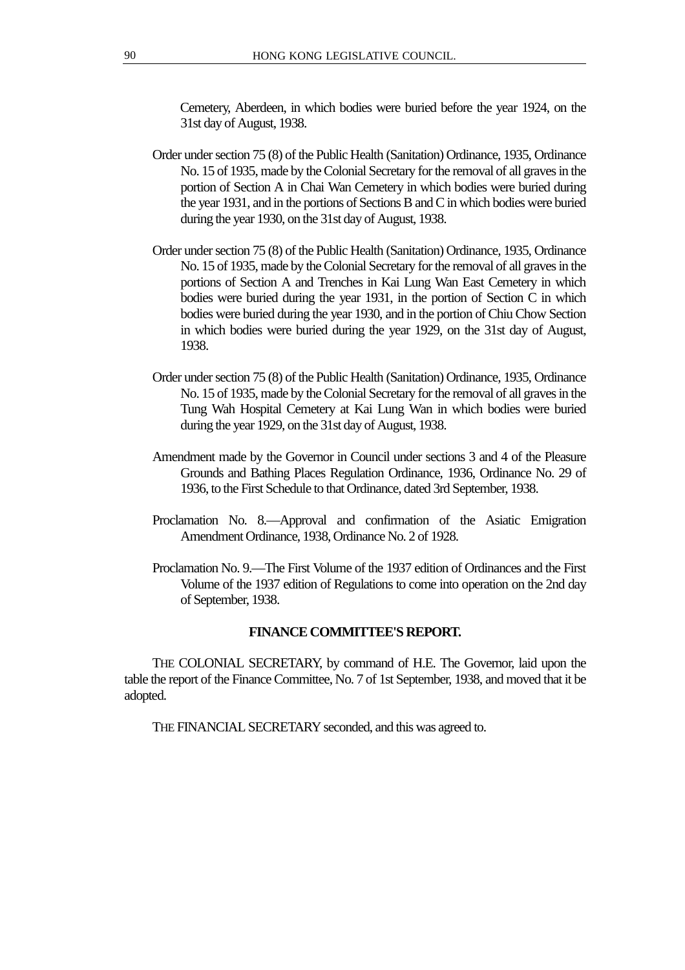Cemetery, Aberdeen, in which bodies were buried before the year 1924, on the 31st day of August, 1938.

- Order under section 75 (8) of the Public Health (Sanitation) Ordinance, 1935, Ordinance No. 15 of 1935, made by the Colonial Secretary for the removal of all graves in the portion of Section A in Chai Wan Cemetery in which bodies were buried during the year 1931, and in the portions of Sections B and C in which bodies were buried during the year 1930, on the 31st day of August, 1938.
- Order under section 75 (8) of the Public Health (Sanitation) Ordinance, 1935, Ordinance No. 15 of 1935, made by the Colonial Secretary for the removal of all graves in the portions of Section A and Trenches in Kai Lung Wan East Cemetery in which bodies were buried during the year 1931, in the portion of Section C in which bodies were buried during the year 1930, and in the portion of Chiu Chow Section in which bodies were buried during the year 1929, on the 31st day of August, 1938.
- Order under section 75 (8) of the Public Health (Sanitation) Ordinance, 1935, Ordinance No. 15 of 1935, made by the Colonial Secretary for the removal of all graves in the Tung Wah Hospital Cemetery at Kai Lung Wan in which bodies were buried during the year 1929, on the 31st day of August, 1938.
- Amendment made by the Governor in Council under sections 3 and 4 of the Pleasure Grounds and Bathing Places Regulation Ordinance, 1936, Ordinance No. 29 of 1936, to the First Schedule to that Ordinance, dated 3rd September, 1938.
- Proclamation No. 8.—Approval and confirmation of the Asiatic Emigration Amendment Ordinance, 1938, Ordinance No. 2 of 1928.
- Proclamation No. 9.—The First Volume of the 1937 edition of Ordinances and the First Volume of the 1937 edition of Regulations to come into operation on the 2nd day of September, 1938.

#### **FINANCE COMMITTEE'S REPORT.**

THE COLONIAL SECRETARY, by command of H.E. The Governor, laid upon the table the report of the Finance Committee, No. 7 of 1st September, 1938, and moved that it be adopted.

THE FINANCIAL SECRETARY seconded, and this was agreed to.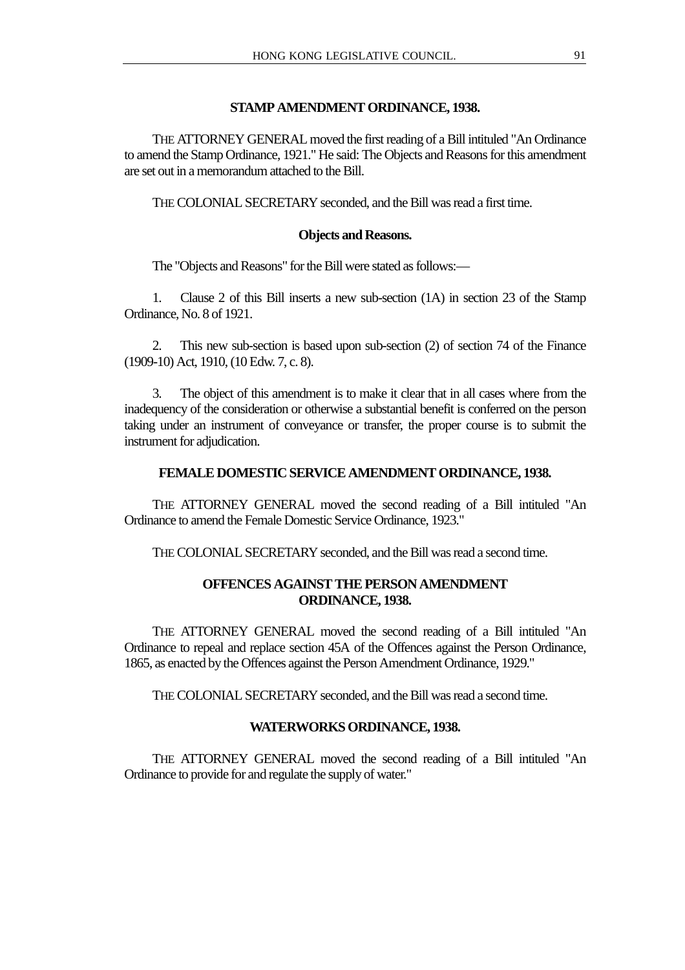#### **STAMP AMENDMENT ORDINANCE, 1938.**

THE ATTORNEY GENERAL moved the first reading of a Bill intituled "An Ordinance to amend the Stamp Ordinance, 1921." He said: The Objects and Reasons for this amendment are set out in a memorandum attached to the Bill.

THE COLONIAL SECRETARY seconded, and the Bill was read a first time.

#### **Objects and Reasons.**

The "Objects and Reasons" for the Bill were stated as follows:—

1. Clause 2 of this Bill inserts a new sub-section (1A) in section 23 of the Stamp Ordinance, No. 8 of 1921.

2. This new sub-section is based upon sub-section (2) of section 74 of the Finance (1909-10) Act, 1910, (10 Edw. 7, c. 8).

3. The object of this amendment is to make it clear that in all cases where from the inadequency of the consideration or otherwise a substantial benefit is conferred on the person taking under an instrument of conveyance or transfer, the proper course is to submit the instrument for adjudication.

#### **FEMALE DOMESTIC SERVICE AMENDMENT ORDINANCE, 1938.**

THE ATTORNEY GENERAL moved the second reading of a Bill intituled "An Ordinance to amend the Female Domestic Service Ordinance, 1923."

THE COLONIAL SECRETARY seconded, and the Bill was read a second time.

# **OFFENCES AGAINST THE PERSON AMENDMENT ORDINANCE, 1938.**

THE ATTORNEY GENERAL moved the second reading of a Bill intituled "An Ordinance to repeal and replace section 45A of the Offences against the Person Ordinance, 1865, as enacted by the Offences against the Person Amendment Ordinance, 1929."

THE COLONIAL SECRETARY seconded, and the Bill was read a second time.

## **WATERWORKS ORDINANCE, 1938.**

THE ATTORNEY GENERAL moved the second reading of a Bill intituled "An Ordinance to provide for and regulate the supply of water."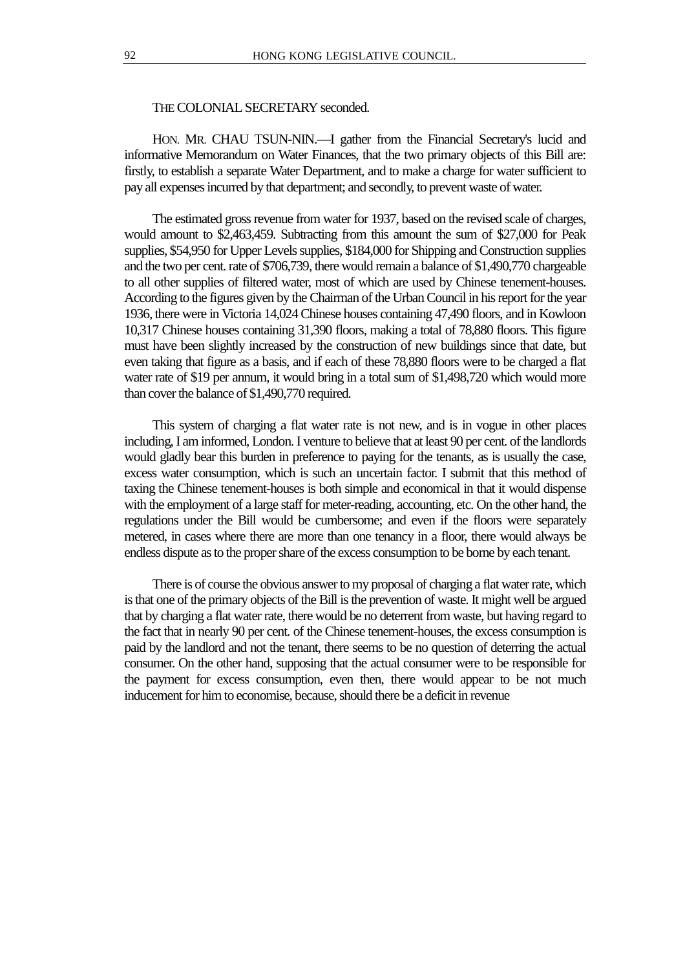## THE COLONIAL SECRETARY seconded.

HON. MR. CHAU TSUN-NIN.—I gather from the Financial Secretary's lucid and informative Memorandum on Water Finances, that the two primary objects of this Bill are: firstly, to establish a separate Water Department, and to make a charge for water sufficient to pay all expenses incurred by that department; and secondly, to prevent waste of water.

The estimated gross revenue from water for 1937, based on the revised scale of charges, would amount to \$2,463,459. Subtracting from this amount the sum of \$27,000 for Peak supplies, \$54,950 for Upper Levels supplies, \$184,000 for Shipping and Construction supplies and the two per cent. rate of \$706,739, there would remain a balance of \$1,490,770 chargeable to all other supplies of filtered water, most of which are used by Chinese tenement-houses. According to the figures given by the Chairman of the Urban Council in his report for the year 1936, there were in Victoria 14,024 Chinese houses containing 47,490 floors, and in Kowloon 10,317 Chinese houses containing 31,390 floors, making a total of 78,880 floors. This figure must have been slightly increased by the construction of new buildings since that date, but even taking that figure as a basis, and if each of these 78,880 floors were to be charged a flat water rate of \$19 per annum, it would bring in a total sum of \$1,498,720 which would more than cover the balance of \$1,490,770 required.

This system of charging a flat water rate is not new, and is in vogue in other places including, I am informed, London. I venture to believe that at least 90 per cent. of the landlords would gladly bear this burden in preference to paying for the tenants, as is usually the case, excess water consumption, which is such an uncertain factor. I submit that this method of taxing the Chinese tenement-houses is both simple and economical in that it would dispense with the employment of a large staff for meter-reading, accounting, etc. On the other hand, the regulations under the Bill would be cumbersome; and even if the floors were separately metered, in cases where there are more than one tenancy in a floor, there would always be endless dispute as to the proper share of the excess consumption to be borne by each tenant.

There is of course the obvious answer to my proposal of charging a flat water rate, which is that one of the primary objects of the Bill is the prevention of waste. It might well be argued that by charging a flat water rate, there would be no deterrent from waste, but having regard to the fact that in nearly 90 per cent. of the Chinese tenement-houses, the excess consumption is paid by the landlord and not the tenant, there seems to be no question of deterring the actual consumer. On the other hand, supposing that the actual consumer were to be responsible for the payment for excess consumption, even then, there would appear to be not much inducement for him to economise, because, should there be a deficit in revenue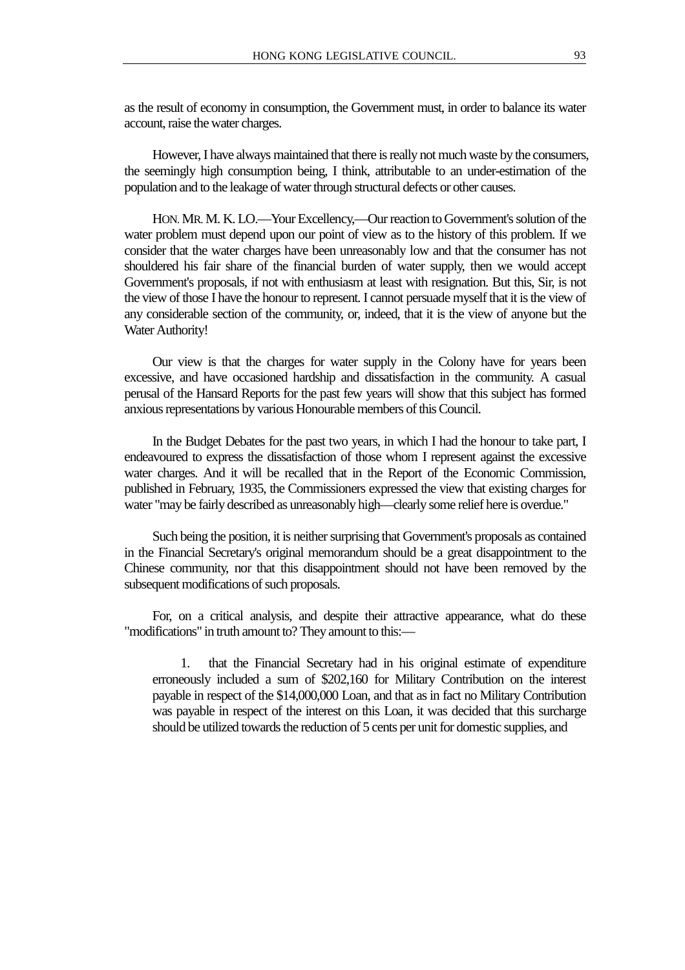as the result of economy in consumption, the Government must, in order to balance its water account, raise the water charges.

However, I have always maintained that there is really not much waste by the consumers, the seemingly high consumption being, I think, attributable to an under-estimation of the population and to the leakage of water through structural defects or other causes.

HON. MR. M. K. LO.—Your Excellency,—Our reaction to Government's solution of the water problem must depend upon our point of view as to the history of this problem. If we consider that the water charges have been unreasonably low and that the consumer has not shouldered his fair share of the financial burden of water supply, then we would accept Government's proposals, if not with enthusiasm at least with resignation. But this, Sir, is not the view of those I have the honour to represent. I cannot persuade myself that it is the view of any considerable section of the community, or, indeed, that it is the view of anyone but the Water Authority!

Our view is that the charges for water supply in the Colony have for years been excessive, and have occasioned hardship and dissatisfaction in the community. A casual perusal of the Hansard Reports for the past few years will show that this subject has formed anxious representations by various Honourable members of this Council.

In the Budget Debates for the past two years, in which I had the honour to take part, I endeavoured to express the dissatisfaction of those whom I represent against the excessive water charges. And it will be recalled that in the Report of the Economic Commission, published in February, 1935, the Commissioners expressed the view that existing charges for water "may be fairly described as unreasonably high—clearly some relief here is overdue."

Such being the position, it is neither surprising that Government's proposals as contained in the Financial Secretary's original memorandum should be a great disappointment to the Chinese community, nor that this disappointment should not have been removed by the subsequent modifications of such proposals.

For, on a critical analysis, and despite their attractive appearance, what do these "modifications" in truth amount to? They amount to this:—

1. that the Financial Secretary had in his original estimate of expenditure erroneously included a sum of \$202,160 for Military Contribution on the interest payable in respect of the \$14,000,000 Loan, and that as in fact no Military Contribution was payable in respect of the interest on this Loan, it was decided that this surcharge should be utilized towards the reduction of 5 cents per unit for domestic supplies, and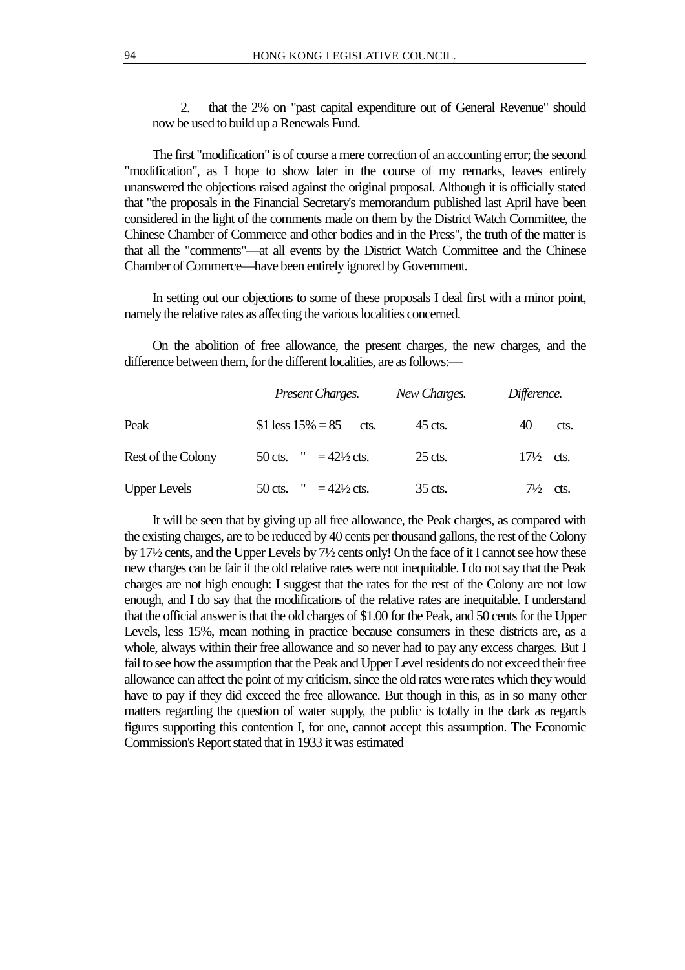2. that the 2% on "past capital expenditure out of General Revenue" should now be used to build up a Renewals Fund.

The first "modification" is of course a mere correction of an accounting error; the second "modification", as I hope to show later in the course of my remarks, leaves entirely unanswered the objections raised against the original proposal. Although it is officially stated that "the proposals in the Financial Secretary's memorandum published last April have been considered in the light of the comments made on them by the District Watch Committee, the Chinese Chamber of Commerce and other bodies and in the Press", the truth of the matter is that all the "comments"—at all events by the District Watch Committee and the Chinese Chamber of Commerce—have been entirely ignored by Government.

In setting out our objections to some of these proposals I deal first with a minor point, namely the relative rates as affecting the various localities concerned.

On the abolition of free allowance, the present charges, the new charges, and the difference between them, for the different localities, are as follows:—

|                     | Present Charges.                    | New Charges. | Difference.          |
|---------------------|-------------------------------------|--------------|----------------------|
| Peak                | \$1 less $15\% = 85$<br>cts.        | 45 cts.      | 40<br>cts.           |
| Rest of the Colony  | " = $42\frac{1}{2}$ cts.<br>50 cts. | $25$ cts.    | $17\frac{1}{2}$ cts. |
| <b>Upper Levels</b> | $= 42\frac{1}{2}$ cts.<br>$50$ cts. | 35 cts.      | $7\frac{1}{2}$ cts.  |

It will be seen that by giving up all free allowance, the Peak charges, as compared with the existing charges, are to be reduced by 40 cents per thousand gallons, the rest of the Colony by 17½ cents, and the Upper Levels by 7½ cents only! On the face of it I cannot see how these new charges can be fair if the old relative rates were not inequitable. I do not say that the Peak charges are not high enough: I suggest that the rates for the rest of the Colony are not low enough, and I do say that the modifications of the relative rates are inequitable. I understand that the official answer is that the old charges of \$1.00 for the Peak, and 50 cents for the Upper Levels, less 15%, mean nothing in practice because consumers in these districts are, as a whole, always within their free allowance and so never had to pay any excess charges. But I fail to see how the assumption that the Peak and Upper Level residents do not exceed their free allowance can affect the point of my criticism, since the old rates were rates which they would have to pay if they did exceed the free allowance. But though in this, as in so many other matters regarding the question of water supply, the public is totally in the dark as regards figures supporting this contention I, for one, cannot accept this assumption. The Economic Commission's Report stated that in 1933 it was estimated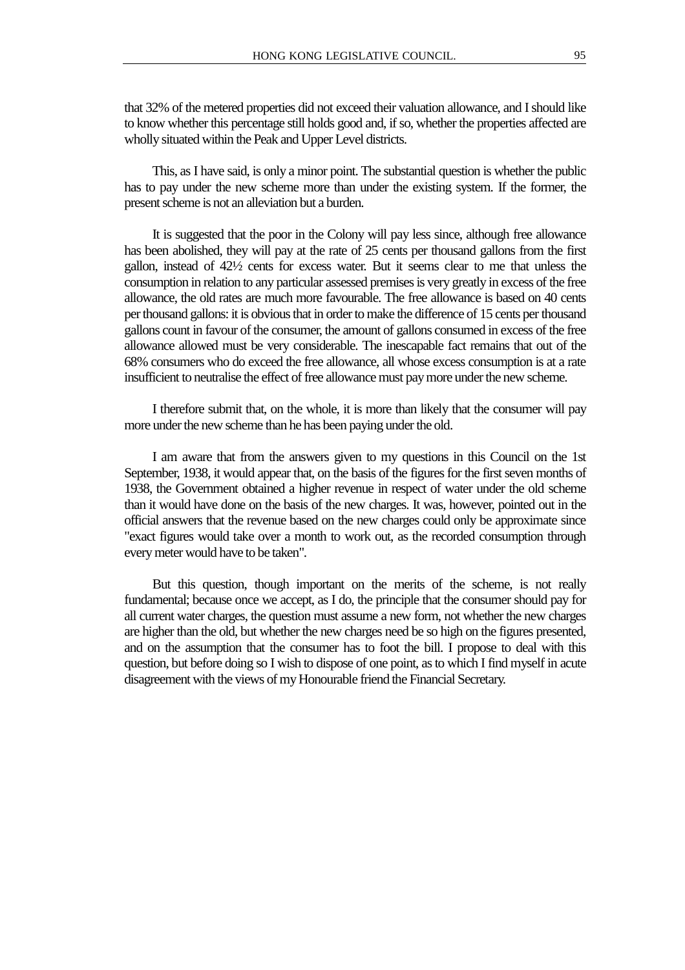that 32% of the metered properties did not exceed their valuation allowance, and I should like to know whether this percentage still holds good and, if so, whether the properties affected are wholly situated within the Peak and Upper Level districts.

This, as I have said, is only a minor point. The substantial question is whether the public has to pay under the new scheme more than under the existing system. If the former, the present scheme is not an alleviation but a burden.

It is suggested that the poor in the Colony will pay less since, although free allowance has been abolished, they will pay at the rate of 25 cents per thousand gallons from the first gallon, instead of 42½ cents for excess water. But it seems clear to me that unless the consumption in relation to any particular assessed premises is very greatly in excess of the free allowance, the old rates are much more favourable. The free allowance is based on 40 cents per thousand gallons: it is obvious that in order to make the difference of 15 cents per thousand gallons count in favour of the consumer, the amount of gallons consumed in excess of the free allowance allowed must be very considerable. The inescapable fact remains that out of the 68% consumers who do exceed the free allowance, all whose excess consumption is at a rate insufficient to neutralise the effect of free allowance must pay more under the new scheme.

I therefore submit that, on the whole, it is more than likely that the consumer will pay more under the new scheme than he has been paying under the old.

I am aware that from the answers given to my questions in this Council on the 1st September, 1938, it would appear that, on the basis of the figures for the first seven months of 1938, the Government obtained a higher revenue in respect of water under the old scheme than it would have done on the basis of the new charges. It was, however, pointed out in the official answers that the revenue based on the new charges could only be approximate since "exact figures would take over a month to work out, as the recorded consumption through every meter would have to be taken".

But this question, though important on the merits of the scheme, is not really fundamental; because once we accept, as I do, the principle that the consumer should pay for all current water charges, the question must assume a new form, not whether the new charges are higher than the old, but whether the new charges need be so high on the figures presented, and on the assumption that the consumer has to foot the bill. I propose to deal with this question, but before doing so I wish to dispose of one point, as to which I find myself in acute disagreement with the views of my Honourable friend the Financial Secretary.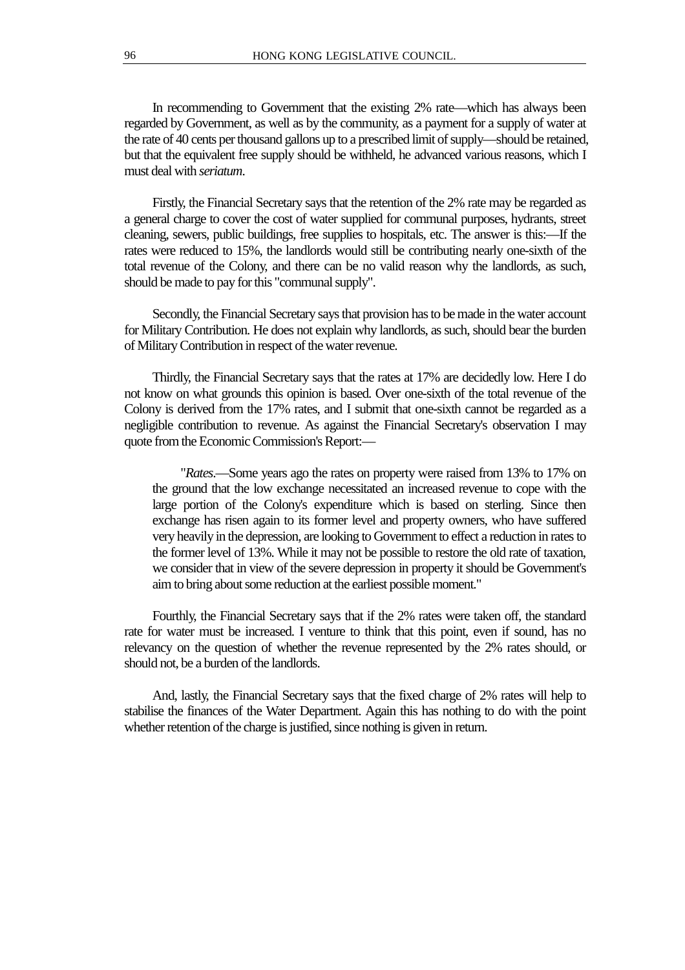In recommending to Government that the existing 2% rate—which has always been regarded by Government, as well as by the community, as a payment for a supply of water at the rate of 40 cents per thousand gallons up to a prescribed limit of supply—should be retained, but that the equivalent free supply should be withheld, he advanced various reasons, which I must deal with *seriatum*.

Firstly, the Financial Secretary says that the retention of the 2% rate may be regarded as a general charge to cover the cost of water supplied for communal purposes, hydrants, street cleaning, sewers, public buildings, free supplies to hospitals, etc. The answer is this:—If the rates were reduced to 15%, the landlords would still be contributing nearly one-sixth of the total revenue of the Colony, and there can be no valid reason why the landlords, as such, should be made to pay for this "communal supply".

Secondly, the Financial Secretary says that provision has to be made in the water account for Military Contribution. He does not explain why landlords, as such, should bear the burden of Military Contribution in respect of the water revenue.

Thirdly, the Financial Secretary says that the rates at 17% are decidedly low. Here I do not know on what grounds this opinion is based. Over one-sixth of the total revenue of the Colony is derived from the 17% rates, and I submit that one-sixth cannot be regarded as a negligible contribution to revenue. As against the Financial Secretary's observation I may quote from the Economic Commission's Report:—

"*Rates*.—Some years ago the rates on property were raised from 13% to 17% on the ground that the low exchange necessitated an increased revenue to cope with the large portion of the Colony's expenditure which is based on sterling. Since then exchange has risen again to its former level and property owners, who have suffered very heavily in the depression, are looking to Government to effect a reduction in rates to the former level of 13%. While it may not be possible to restore the old rate of taxation, we consider that in view of the severe depression in property it should be Government's aim to bring about some reduction at the earliest possible moment."

Fourthly, the Financial Secretary says that if the 2% rates were taken off, the standard rate for water must be increased. I venture to think that this point, even if sound, has no relevancy on the question of whether the revenue represented by the 2% rates should, or should not, be a burden of the landlords.

And, lastly, the Financial Secretary says that the fixed charge of 2% rates will help to stabilise the finances of the Water Department. Again this has nothing to do with the point whether retention of the charge is justified, since nothing is given in return.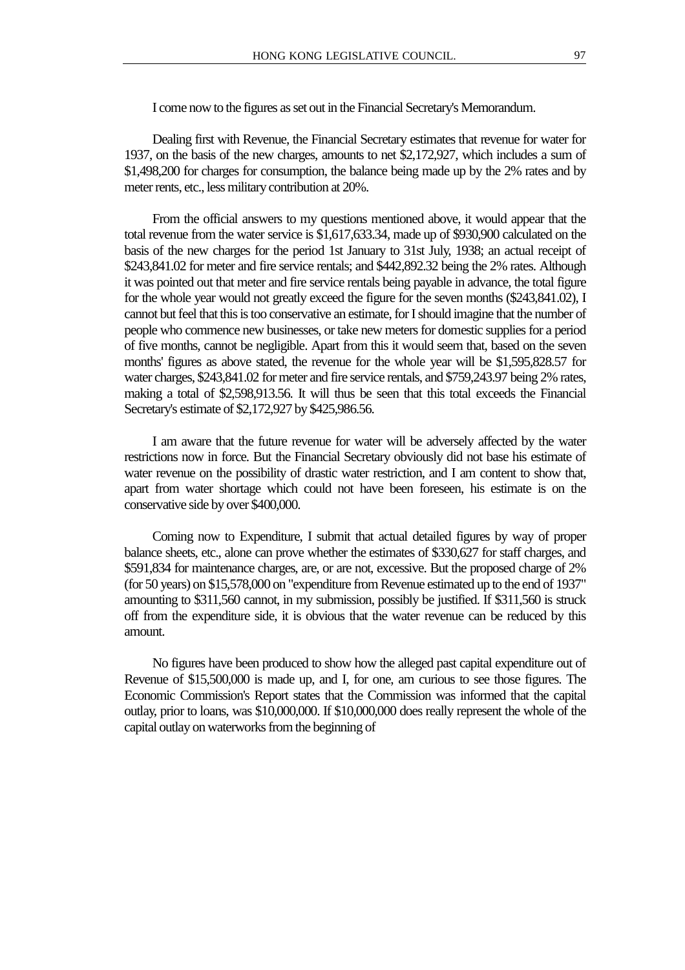I come now to the figures as set out in the Financial Secretary's Memorandum.

Dealing first with Revenue, the Financial Secretary estimates that revenue for water for 1937, on the basis of the new charges, amounts to net \$2,172,927, which includes a sum of \$1,498,200 for charges for consumption, the balance being made up by the 2% rates and by meter rents, etc., less military contribution at 20%.

From the official answers to my questions mentioned above, it would appear that the total revenue from the water service is \$1,617,633.34, made up of \$930,900 calculated on the basis of the new charges for the period 1st January to 31st July, 1938; an actual receipt of \$243,841.02 for meter and fire service rentals; and \$442,892.32 being the 2% rates. Although it was pointed out that meter and fire service rentals being payable in advance, the total figure for the whole year would not greatly exceed the figure for the seven months (\$243,841.02), I cannot but feel that this is too conservative an estimate, for I should imagine that the number of people who commence new businesses, or take new meters for domestic supplies for a period of five months, cannot be negligible. Apart from this it would seem that, based on the seven months' figures as above stated, the revenue for the whole year will be \$1,595,828.57 for water charges, \$243,841.02 for meter and fire service rentals, and \$759,243.97 being 2% rates, making a total of \$2,598,913.56. It will thus be seen that this total exceeds the Financial Secretary's estimate of \$2,172,927 by \$425,986.56.

I am aware that the future revenue for water will be adversely affected by the water restrictions now in force. But the Financial Secretary obviously did not base his estimate of water revenue on the possibility of drastic water restriction, and I am content to show that, apart from water shortage which could not have been foreseen, his estimate is on the conservative side by over \$400,000.

Coming now to Expenditure, I submit that actual detailed figures by way of proper balance sheets, etc., alone can prove whether the estimates of \$330,627 for staff charges, and \$591,834 for maintenance charges, are, or are not, excessive. But the proposed charge of 2% (for 50 years) on \$15,578,000 on "expenditure from Revenue estimated up to the end of 1937" amounting to \$311,560 cannot, in my submission, possibly be justified. If \$311,560 is struck off from the expenditure side, it is obvious that the water revenue can be reduced by this amount.

No figures have been produced to show how the alleged past capital expenditure out of Revenue of \$15,500,000 is made up, and I, for one, am curious to see those figures. The Economic Commission's Report states that the Commission was informed that the capital outlay, prior to loans, was \$10,000,000. If \$10,000,000 does really represent the whole of the capital outlay on waterworks from the beginning of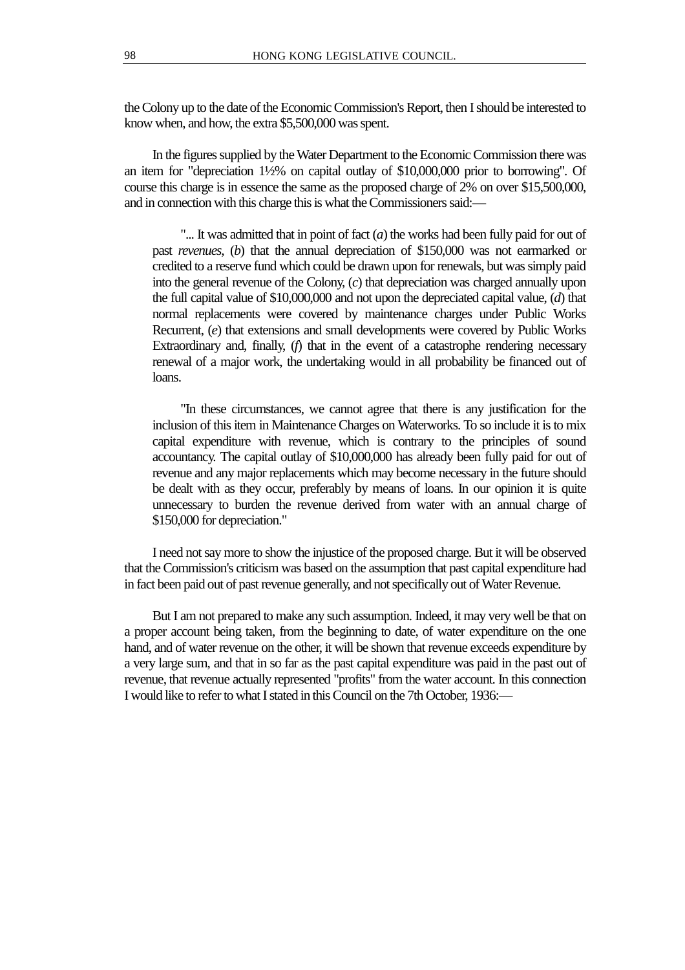the Colony up to the date of the Economic Commission's Report, then I should be interested to know when, and how, the extra \$5,500,000 was spent.

In the figures supplied by the Water Department to the Economic Commission there was an item for "depreciation 1½% on capital outlay of \$10,000,000 prior to borrowing". Of course this charge is in essence the same as the proposed charge of 2% on over \$15,500,000, and in connection with this charge this is what the Commissioners said:—

"... It was admitted that in point of fact (*a*) the works had been fully paid for out of past *revenues*, (*b*) that the annual depreciation of \$150,000 was not earmarked or credited to a reserve fund which could be drawn upon for renewals, but was simply paid into the general revenue of the Colony, (*c*) that depreciation was charged annually upon the full capital value of \$10,000,000 and not upon the depreciated capital value, (*d*) that normal replacements were covered by maintenance charges under Public Works Recurrent, (*e*) that extensions and small developments were covered by Public Works Extraordinary and, finally, (*f*) that in the event of a catastrophe rendering necessary renewal of a major work, the undertaking would in all probability be financed out of loans.

"In these circumstances, we cannot agree that there is any justification for the inclusion of this item in Maintenance Charges on Waterworks. To so include it is to mix capital expenditure with revenue, which is contrary to the principles of sound accountancy. The capital outlay of \$10,000,000 has already been fully paid for out of revenue and any major replacements which may become necessary in the future should be dealt with as they occur, preferably by means of loans. In our opinion it is quite unnecessary to burden the revenue derived from water with an annual charge of \$150,000 for depreciation."

I need not say more to show the injustice of the proposed charge. But it will be observed that the Commission's criticism was based on the assumption that past capital expenditure had in fact been paid out of past revenue generally, and not specifically out of Water Revenue.

But I am not prepared to make any such assumption. Indeed, it may very well be that on a proper account being taken, from the beginning to date, of water expenditure on the one hand, and of water revenue on the other, it will be shown that revenue exceeds expenditure by a very large sum, and that in so far as the past capital expenditure was paid in the past out of revenue, that revenue actually represented "profits" from the water account. In this connection I would like to refer to what I stated in this Council on the 7th October, 1936:—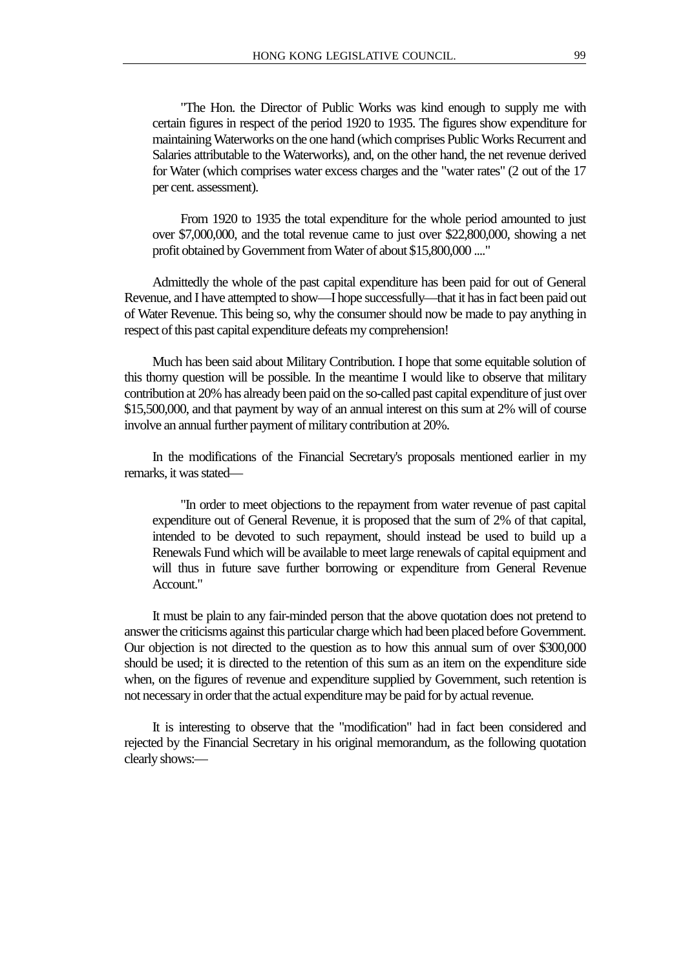"The Hon. the Director of Public Works was kind enough to supply me with certain figures in respect of the period 1920 to 1935. The figures show expenditure for maintaining Waterworks on the one hand (which comprises Public Works Recurrent and Salaries attributable to the Waterworks), and, on the other hand, the net revenue derived for Water (which comprises water excess charges and the "water rates" (2 out of the 17 per cent. assessment).

From 1920 to 1935 the total expenditure for the whole period amounted to just over \$7,000,000, and the total revenue came to just over \$22,800,000, showing a net profit obtained by Government from Water of about \$15,800,000 ...."

Admittedly the whole of the past capital expenditure has been paid for out of General Revenue, and I have attempted to show—I hope successfully—that it has in fact been paid out of Water Revenue. This being so, why the consumer should now be made to pay anything in respect of this past capital expenditure defeats my comprehension!

Much has been said about Military Contribution. I hope that some equitable solution of this thorny question will be possible. In the meantime I would like to observe that military contribution at 20% has already been paid on the so-called past capital expenditure of just over \$15,500,000, and that payment by way of an annual interest on this sum at 2% will of course involve an annual further payment of military contribution at 20%.

In the modifications of the Financial Secretary's proposals mentioned earlier in my remarks, it was stated—

"In order to meet objections to the repayment from water revenue of past capital expenditure out of General Revenue, it is proposed that the sum of 2% of that capital, intended to be devoted to such repayment, should instead be used to build up a Renewals Fund which will be available to meet large renewals of capital equipment and will thus in future save further borrowing or expenditure from General Revenue Account."

It must be plain to any fair-minded person that the above quotation does not pretend to answer the criticisms against this particular charge which had been placed before Government. Our objection is not directed to the question as to how this annual sum of over \$300,000 should be used; it is directed to the retention of this sum as an item on the expenditure side when, on the figures of revenue and expenditure supplied by Government, such retention is not necessary in order that the actual expenditure may be paid for by actual revenue.

It is interesting to observe that the "modification" had in fact been considered and rejected by the Financial Secretary in his original memorandum, as the following quotation clearly shows:—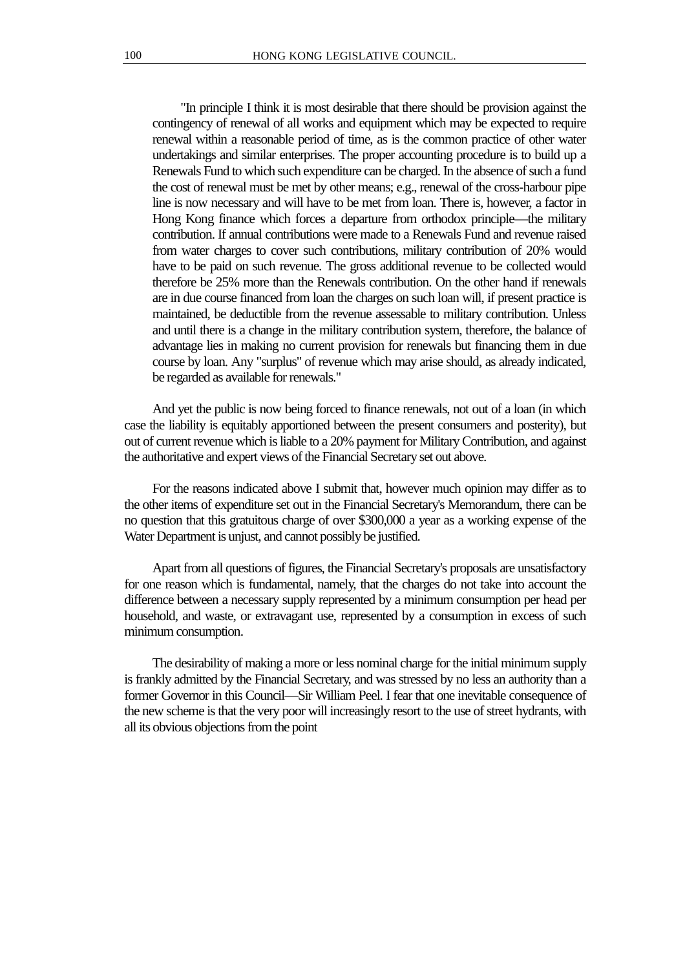"In principle I think it is most desirable that there should be provision against the contingency of renewal of all works and equipment which may be expected to require renewal within a reasonable period of time, as is the common practice of other water undertakings and similar enterprises. The proper accounting procedure is to build up a Renewals Fund to which such expenditure can be charged. In the absence of such a fund the cost of renewal must be met by other means; e.g., renewal of the cross-harbour pipe line is now necessary and will have to be met from loan. There is, however, a factor in Hong Kong finance which forces a departure from orthodox principle—the military contribution. If annual contributions were made to a Renewals Fund and revenue raised from water charges to cover such contributions, military contribution of 20% would have to be paid on such revenue. The gross additional revenue to be collected would therefore be 25% more than the Renewals contribution. On the other hand if renewals are in due course financed from loan the charges on such loan will, if present practice is maintained, be deductible from the revenue assessable to military contribution. Unless and until there is a change in the military contribution system, therefore, the balance of advantage lies in making no current provision for renewals but financing them in due course by loan. Any "surplus" of revenue which may arise should, as already indicated, be regarded as available for renewals."

And yet the public is now being forced to finance renewals, not out of a loan (in which case the liability is equitably apportioned between the present consumers and posterity), but out of current revenue which is liable to a 20% payment for Military Contribution, and against the authoritative and expert views of the Financial Secretary set out above.

For the reasons indicated above I submit that, however much opinion may differ as to the other items of expenditure set out in the Financial Secretary's Memorandum, there can be no question that this gratuitous charge of over \$300,000 a year as a working expense of the Water Department is unjust, and cannot possibly be justified.

Apart from all questions of figures, the Financial Secretary's proposals are unsatisfactory for one reason which is fundamental, namely, that the charges do not take into account the difference between a necessary supply represented by a minimum consumption per head per household, and waste, or extravagant use, represented by a consumption in excess of such minimum consumption.

The desirability of making a more or less nominal charge for the initial minimum supply is frankly admitted by the Financial Secretary, and was stressed by no less an authority than a former Governor in this Council—Sir William Peel. I fear that one inevitable consequence of the new scheme is that the very poor will increasingly resort to the use of street hydrants, with all its obvious objections from the point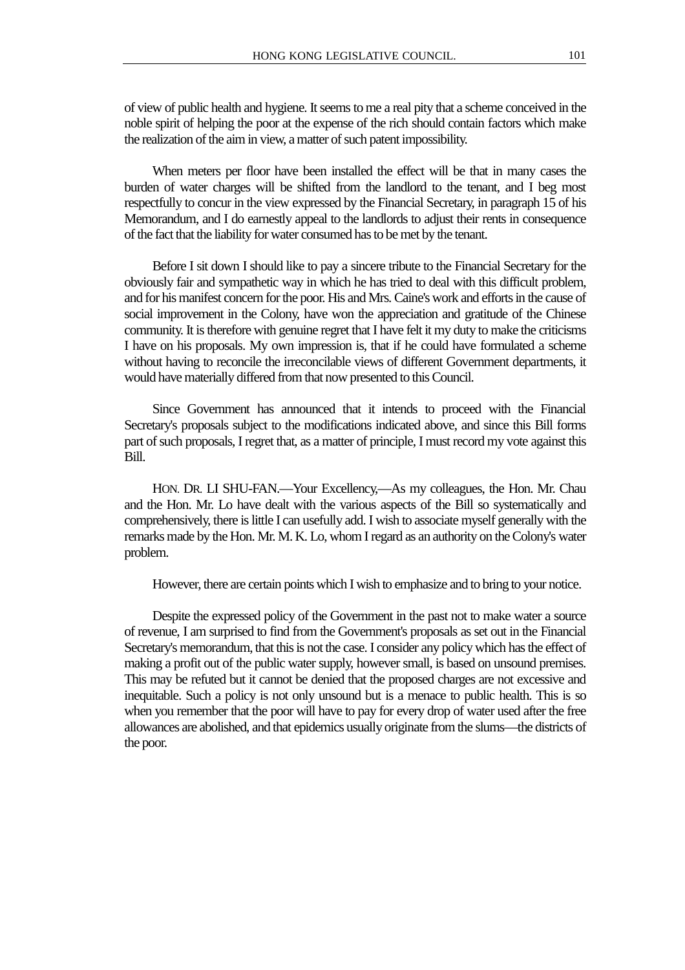of view of public health and hygiene. It seems to me a real pity that a scheme conceived in the noble spirit of helping the poor at the expense of the rich should contain factors which make the realization of the aim in view, a matter of such patent impossibility.

When meters per floor have been installed the effect will be that in many cases the burden of water charges will be shifted from the landlord to the tenant, and I beg most respectfully to concur in the view expressed by the Financial Secretary, in paragraph 15 of his Memorandum, and I do earnestly appeal to the landlords to adjust their rents in consequence of the fact that the liability for water consumed has to be met by the tenant.

Before I sit down I should like to pay a sincere tribute to the Financial Secretary for the obviously fair and sympathetic way in which he has tried to deal with this difficult problem, and for his manifest concern for the poor. His and Mrs. Caine's work and efforts in the cause of social improvement in the Colony, have won the appreciation and gratitude of the Chinese community. It is therefore with genuine regret that I have felt it my duty to make the criticisms I have on his proposals. My own impression is, that if he could have formulated a scheme without having to reconcile the irreconcilable views of different Government departments, it would have materially differed from that now presented to this Council.

Since Government has announced that it intends to proceed with the Financial Secretary's proposals subject to the modifications indicated above, and since this Bill forms part of such proposals, I regret that, as a matter of principle, I must record my vote against this Bill.

HON. DR. LI SHU-FAN.—Your Excellency,—As my colleagues, the Hon. Mr. Chau and the Hon. Mr. Lo have dealt with the various aspects of the Bill so systematically and comprehensively, there is little I can usefully add. I wish to associate myself generally with the remarks made by the Hon. Mr. M. K. Lo, whom I regard as an authority on the Colony's water problem.

However, there are certain points which I wish to emphasize and to bring to your notice.

Despite the expressed policy of the Government in the past not to make water a source of revenue, I am surprised to find from the Government's proposals as set out in the Financial Secretary's memorandum, that this is not the case. I consider any policy which has the effect of making a profit out of the public water supply, however small, is based on unsound premises. This may be refuted but it cannot be denied that the proposed charges are not excessive and inequitable. Such a policy is not only unsound but is a menace to public health. This is so when you remember that the poor will have to pay for every drop of water used after the free allowances are abolished, and that epidemics usually originate from the slums—the districts of the poor.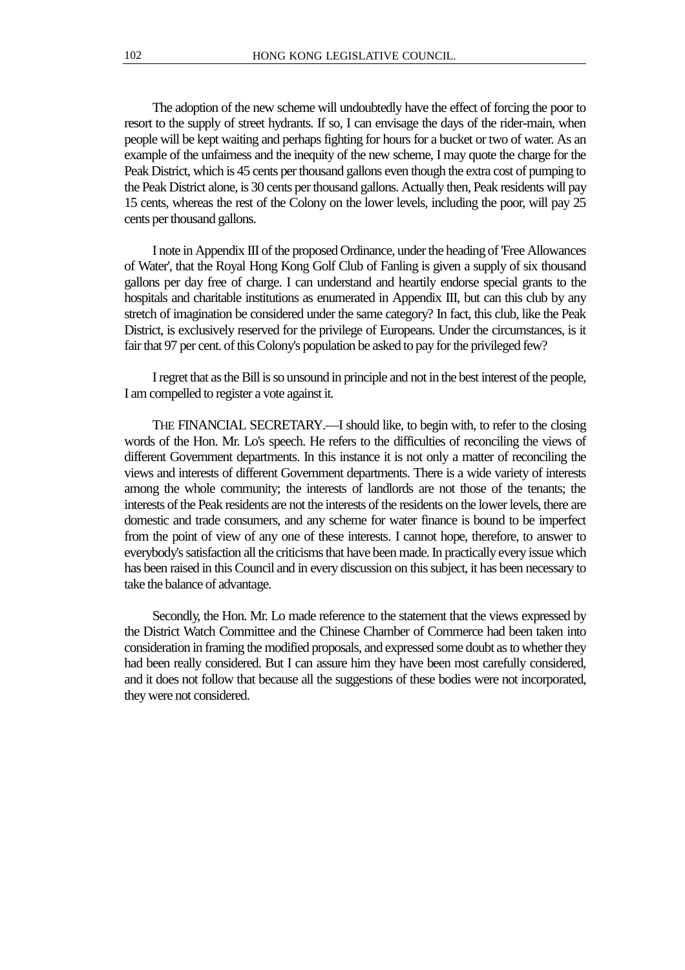The adoption of the new scheme will undoubtedly have the effect of forcing the poor to resort to the supply of street hydrants. If so, I can envisage the days of the rider-main, when people will be kept waiting and perhaps fighting for hours for a bucket or two of water. As an example of the unfairness and the inequity of the new scheme, I may quote the charge for the Peak District, which is 45 cents per thousand gallons even though the extra cost of pumping to the Peak District alone, is 30 cents per thousand gallons. Actually then, Peak residents will pay 15 cents, whereas the rest of the Colony on the lower levels, including the poor, will pay 25 cents per thousand gallons.

I note in Appendix III of the proposed Ordinance, under the heading of 'Free Allowances of Water', that the Royal Hong Kong Golf Club of Fanling is given a supply of six thousand gallons per day free of charge. I can understand and heartily endorse special grants to the hospitals and charitable institutions as enumerated in Appendix III, but can this club by any stretch of imagination be considered under the same category? In fact, this club, like the Peak District, is exclusively reserved for the privilege of Europeans. Under the circumstances, is it fair that 97 per cent. of this Colony's population be asked to pay for the privileged few?

I regret that as the Bill is so unsound in principle and not in the best interest of the people, I am compelled to register a vote against it.

THE FINANCIAL SECRETARY.—I should like, to begin with, to refer to the closing words of the Hon. Mr. Lo's speech. He refers to the difficulties of reconciling the views of different Government departments. In this instance it is not only a matter of reconciling the views and interests of different Government departments. There is a wide variety of interests among the whole community; the interests of landlords are not those of the tenants; the interests of the Peak residents are not the interests of the residents on the lower levels, there are domestic and trade consumers, and any scheme for water finance is bound to be imperfect from the point of view of any one of these interests. I cannot hope, therefore, to answer to everybody's satisfaction all the criticisms that have been made. In practically every issue which has been raised in this Council and in every discussion on this subject, it has been necessary to take the balance of advantage.

Secondly, the Hon. Mr. Lo made reference to the statement that the views expressed by the District Watch Committee and the Chinese Chamber of Commerce had been taken into consideration in framing the modified proposals, and expressed some doubt as to whether they had been really considered. But I can assure him they have been most carefully considered, and it does not follow that because all the suggestions of these bodies were not incorporated, they were not considered.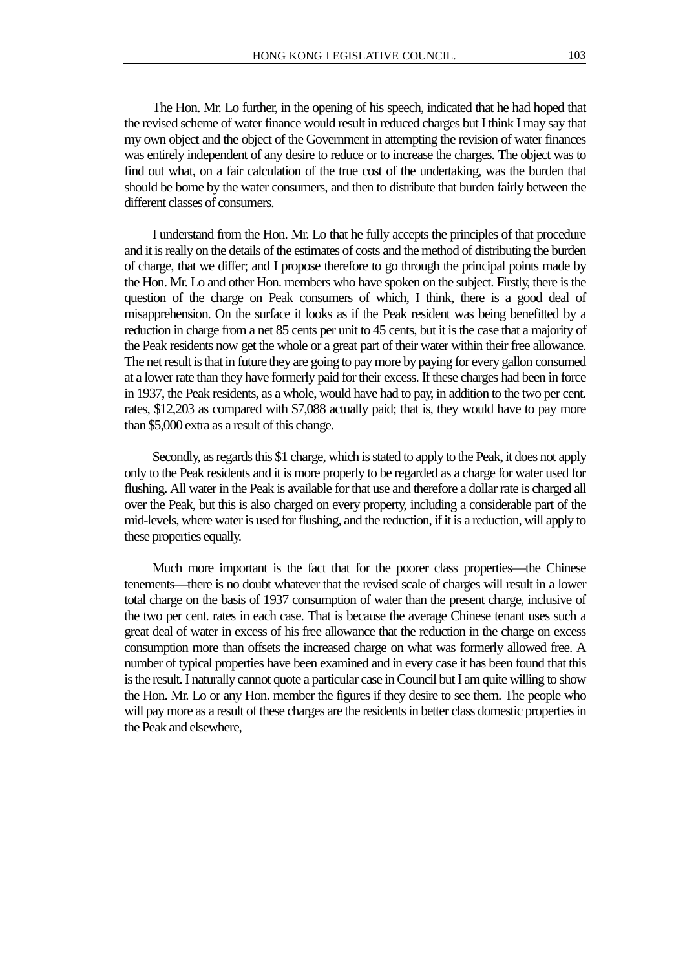The Hon. Mr. Lo further, in the opening of his speech, indicated that he had hoped that the revised scheme of water finance would result in reduced charges but I think I may say that my own object and the object of the Government in attempting the revision of water finances was entirely independent of any desire to reduce or to increase the charges. The object was to find out what, on a fair calculation of the true cost of the undertaking, was the burden that should be borne by the water consumers, and then to distribute that burden fairly between the different classes of consumers.

I understand from the Hon. Mr. Lo that he fully accepts the principles of that procedure and it is really on the details of the estimates of costs and the method of distributing the burden of charge, that we differ; and I propose therefore to go through the principal points made by the Hon. Mr. Lo and other Hon. members who have spoken on the subject. Firstly, there is the question of the charge on Peak consumers of which, I think, there is a good deal of misapprehension. On the surface it looks as if the Peak resident was being benefitted by a reduction in charge from a net 85 cents per unit to 45 cents, but it is the case that a majority of the Peak residents now get the whole or a great part of their water within their free allowance. The net result is that in future they are going to pay more by paying for every gallon consumed at a lower rate than they have formerly paid for their excess. If these charges had been in force in 1937, the Peak residents, as a whole, would have had to pay, in addition to the two per cent. rates, \$12,203 as compared with \$7,088 actually paid; that is, they would have to pay more than \$5,000 extra as a result of this change.

Secondly, as regards this \$1 charge, which is stated to apply to the Peak, it does not apply only to the Peak residents and it is more properly to be regarded as a charge for water used for flushing. All water in the Peak is available for that use and therefore a dollar rate is charged all over the Peak, but this is also charged on every property, including a considerable part of the mid-levels, where water is used for flushing, and the reduction, if it is a reduction, will apply to these properties equally.

Much more important is the fact that for the poorer class properties—the Chinese tenements—there is no doubt whatever that the revised scale of charges will result in a lower total charge on the basis of 1937 consumption of water than the present charge, inclusive of the two per cent. rates in each case. That is because the average Chinese tenant uses such a great deal of water in excess of his free allowance that the reduction in the charge on excess consumption more than offsets the increased charge on what was formerly allowed free. A number of typical properties have been examined and in every case it has been found that this is the result. I naturally cannot quote a particular case in Council but I am quite willing to show the Hon. Mr. Lo or any Hon. member the figures if they desire to see them. The people who will pay more as a result of these charges are the residents in better class domestic properties in the Peak and elsewhere,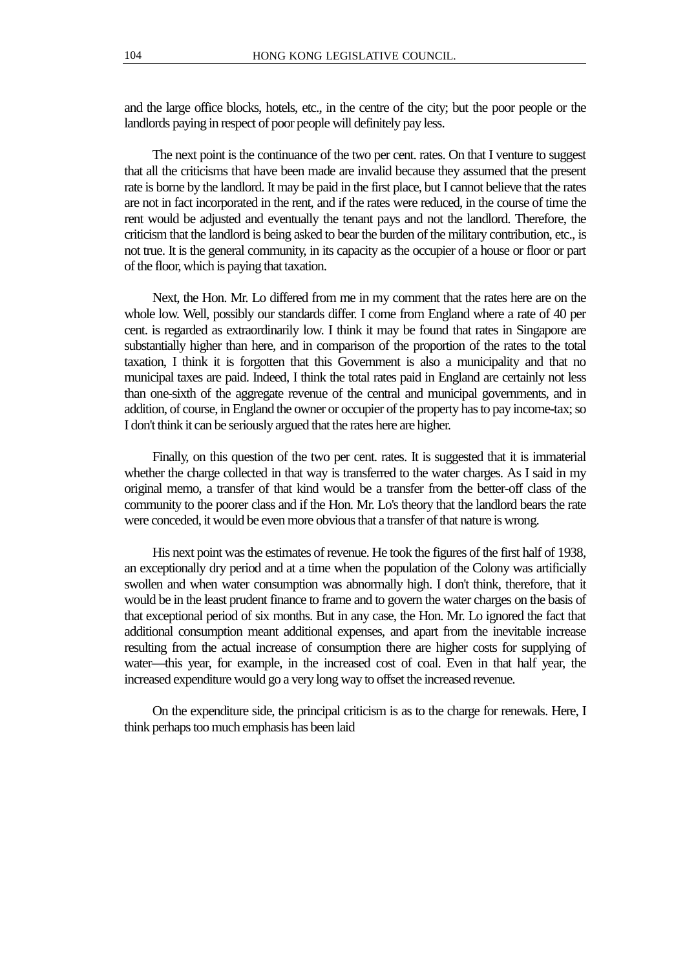and the large office blocks, hotels, etc., in the centre of the city; but the poor people or the landlords paying in respect of poor people will definitely pay less.

The next point is the continuance of the two per cent. rates. On that I venture to suggest that all the criticisms that have been made are invalid because they assumed that the present rate is borne by the landlord. It may be paid in the first place, but I cannot believe that the rates are not in fact incorporated in the rent, and if the rates were reduced, in the course of time the rent would be adjusted and eventually the tenant pays and not the landlord. Therefore, the criticism that the landlord is being asked to bear the burden of the military contribution, etc., is not true. It is the general community, in its capacity as the occupier of a house or floor or part of the floor, which is paying that taxation.

Next, the Hon. Mr. Lo differed from me in my comment that the rates here are on the whole low. Well, possibly our standards differ. I come from England where a rate of 40 per cent. is regarded as extraordinarily low. I think it may be found that rates in Singapore are substantially higher than here, and in comparison of the proportion of the rates to the total taxation, I think it is forgotten that this Government is also a municipality and that no municipal taxes are paid. Indeed, I think the total rates paid in England are certainly not less than one-sixth of the aggregate revenue of the central and municipal governments, and in addition, of course, in England the owner or occupier of the property has to pay income-tax; so I don't think it can be seriously argued that the rates here are higher.

Finally, on this question of the two per cent. rates. It is suggested that it is immaterial whether the charge collected in that way is transferred to the water charges. As I said in my original memo, a transfer of that kind would be a transfer from the better-off class of the community to the poorer class and if the Hon. Mr. Lo's theory that the landlord bears the rate were conceded, it would be even more obvious that a transfer of that nature is wrong.

His next point was the estimates of revenue. He took the figures of the first half of 1938, an exceptionally dry period and at a time when the population of the Colony was artificially swollen and when water consumption was abnormally high. I don't think, therefore, that it would be in the least prudent finance to frame and to govern the water charges on the basis of that exceptional period of six months. But in any case, the Hon. Mr. Lo ignored the fact that additional consumption meant additional expenses, and apart from the inevitable increase resulting from the actual increase of consumption there are higher costs for supplying of water—this year, for example, in the increased cost of coal. Even in that half year, the increased expenditure would go a very long way to offset the increased revenue.

On the expenditure side, the principal criticism is as to the charge for renewals. Here, I think perhaps too much emphasis has been laid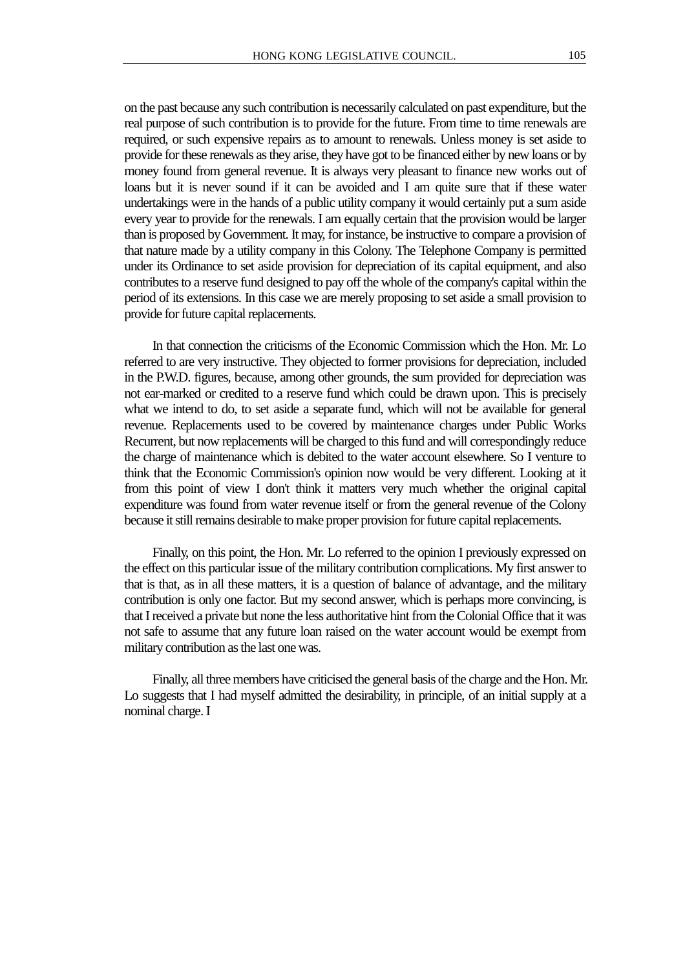on the past because any such contribution is necessarily calculated on past expenditure, but the real purpose of such contribution is to provide for the future. From time to time renewals are required, or such expensive repairs as to amount to renewals. Unless money is set aside to provide for these renewals as they arise, they have got to be financed either by new loans or by money found from general revenue. It is always very pleasant to finance new works out of loans but it is never sound if it can be avoided and I am quite sure that if these water undertakings were in the hands of a public utility company it would certainly put a sum aside every year to provide for the renewals. I am equally certain that the provision would be larger than is proposed by Government. It may, for instance, be instructive to compare a provision of that nature made by a utility company in this Colony. The Telephone Company is permitted under its Ordinance to set aside provision for depreciation of its capital equipment, and also contributes to a reserve fund designed to pay off the whole of the company's capital within the period of its extensions. In this case we are merely proposing to set aside a small provision to provide for future capital replacements.

In that connection the criticisms of the Economic Commission which the Hon. Mr. Lo referred to are very instructive. They objected to former provisions for depreciation, included in the P.W.D. figures, because, among other grounds, the sum provided for depreciation was not ear-marked or credited to a reserve fund which could be drawn upon. This is precisely what we intend to do, to set aside a separate fund, which will not be available for general revenue. Replacements used to be covered by maintenance charges under Public Works Recurrent, but now replacements will be charged to this fund and will correspondingly reduce the charge of maintenance which is debited to the water account elsewhere. So I venture to think that the Economic Commission's opinion now would be very different. Looking at it from this point of view I don't think it matters very much whether the original capital expenditure was found from water revenue itself or from the general revenue of the Colony because it still remains desirable to make proper provision for future capital replacements.

Finally, on this point, the Hon. Mr. Lo referred to the opinion I previously expressed on the effect on this particular issue of the military contribution complications. My first answer to that is that, as in all these matters, it is a question of balance of advantage, and the military contribution is only one factor. But my second answer, which is perhaps more convincing, is that I received a private but none the less authoritative hint from the Colonial Office that it was not safe to assume that any future loan raised on the water account would be exempt from military contribution as the last one was.

Finally, all three members have criticised the general basis of the charge and the Hon. Mr. Lo suggests that I had myself admitted the desirability, in principle, of an initial supply at a nominal charge. I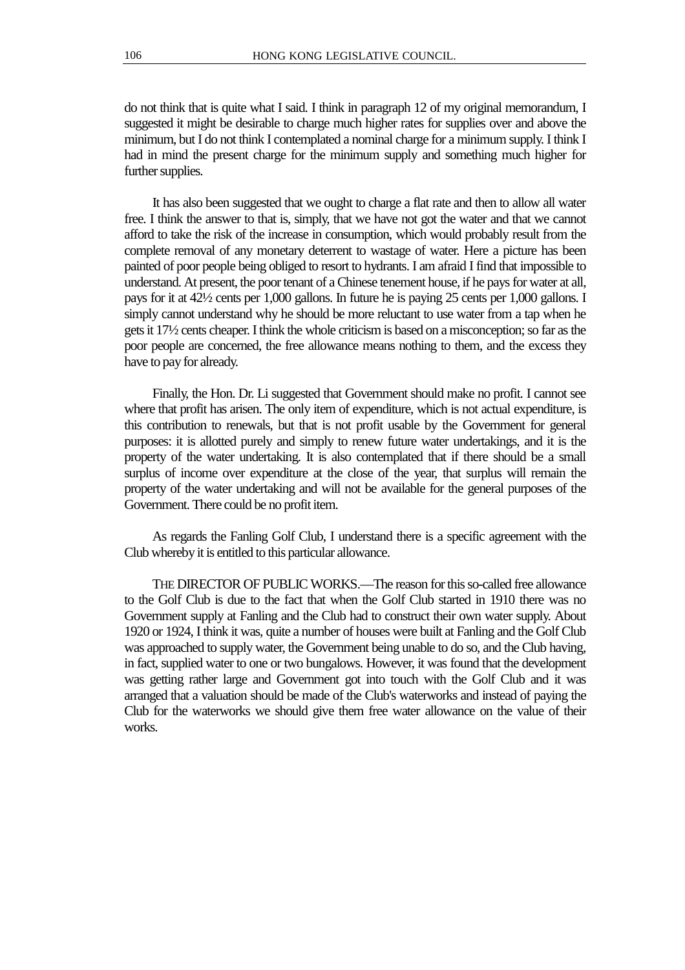do not think that is quite what I said. I think in paragraph 12 of my original memorandum, I suggested it might be desirable to charge much higher rates for supplies over and above the minimum, but I do not think I contemplated a nominal charge for a minimum supply. I think I had in mind the present charge for the minimum supply and something much higher for further supplies.

It has also been suggested that we ought to charge a flat rate and then to allow all water free. I think the answer to that is, simply, that we have not got the water and that we cannot afford to take the risk of the increase in consumption, which would probably result from the complete removal of any monetary deterrent to wastage of water. Here a picture has been painted of poor people being obliged to resort to hydrants. I am afraid I find that impossible to understand. At present, the poor tenant of a Chinese tenement house, if he pays for water at all, pays for it at 42½ cents per 1,000 gallons. In future he is paying 25 cents per 1,000 gallons. I simply cannot understand why he should be more reluctant to use water from a tap when he gets it 17½ cents cheaper. I think the whole criticism is based on a misconception; so far as the poor people are concerned, the free allowance means nothing to them, and the excess they have to pay for already.

Finally, the Hon. Dr. Li suggested that Government should make no profit. I cannot see where that profit has arisen. The only item of expenditure, which is not actual expenditure, is this contribution to renewals, but that is not profit usable by the Government for general purposes: it is allotted purely and simply to renew future water undertakings, and it is the property of the water undertaking. It is also contemplated that if there should be a small surplus of income over expenditure at the close of the year, that surplus will remain the property of the water undertaking and will not be available for the general purposes of the Government. There could be no profit item.

As regards the Fanling Golf Club, I understand there is a specific agreement with the Club whereby it is entitled to this particular allowance.

THE DIRECTOR OF PUBLIC WORKS.—The reason for this so-called free allowance to the Golf Club is due to the fact that when the Golf Club started in 1910 there was no Government supply at Fanling and the Club had to construct their own water supply. About 1920 or 1924, I think it was, quite a number of houses were built at Fanling and the Golf Club was approached to supply water, the Government being unable to do so, and the Club having, in fact, supplied water to one or two bungalows. However, it was found that the development was getting rather large and Government got into touch with the Golf Club and it was arranged that a valuation should be made of the Club's waterworks and instead of paying the Club for the waterworks we should give them free water allowance on the value of their works.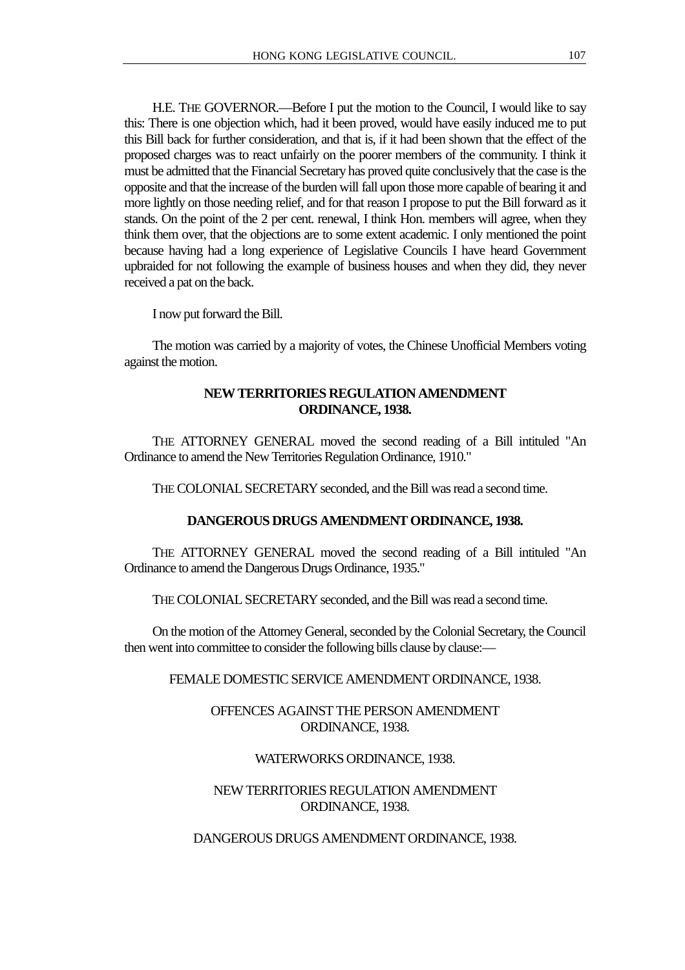H.E. THE GOVERNOR.—Before I put the motion to the Council, I would like to say this: There is one objection which, had it been proved, would have easily induced me to put this Bill back for further consideration, and that is, if it had been shown that the effect of the proposed charges was to react unfairly on the poorer members of the community. I think it must be admitted that the Financial Secretary has proved quite conclusively that the case is the opposite and that the increase of the burden will fall upon those more capable of bearing it and more lightly on those needing relief, and for that reason I propose to put the Bill forward as it stands. On the point of the 2 per cent. renewal, I think Hon. members will agree, when they think them over, that the objections are to some extent academic. I only mentioned the point because having had a long experience of Legislative Councils I have heard Government upbraided for not following the example of business houses and when they did, they never received a pat on the back.

I now put forward the Bill.

The motion was carried by a majority of votes, the Chinese Unofficial Members voting against the motion.

# **NEW TERRITORIES REGULATION AMENDMENT ORDINANCE, 1938.**

THE ATTORNEY GENERAL moved the second reading of a Bill intituled "An Ordinance to amend the New Territories Regulation Ordinance, 1910."

THE COLONIAL SECRETARY seconded, and the Bill was read a second time.

## **DANGEROUS DRUGS AMENDMENT ORDINANCE, 1938.**

THE ATTORNEY GENERAL moved the second reading of a Bill intituled "An Ordinance to amend the Dangerous Drugs Ordinance, 1935."

THE COLONIAL SECRETARY seconded, and the Bill was read a second time.

On the motion of the Attorney General, seconded by the Colonial Secretary, the Council then went into committee to consider the following bills clause by clause:—

# FEMALE DOMESTIC SERVICE AMENDMENT ORDINANCE, 1938.

# OFFENCES AGAINST THE PERSON AMENDMENT ORDINANCE, 1938.

## WATERWORKS ORDINANCE, 1938.

# NEW TERRITORIES REGULATION AMENDMENT ORDINANCE, 1938.

DANGEROUS DRUGS AMENDMENT ORDINANCE, 1938.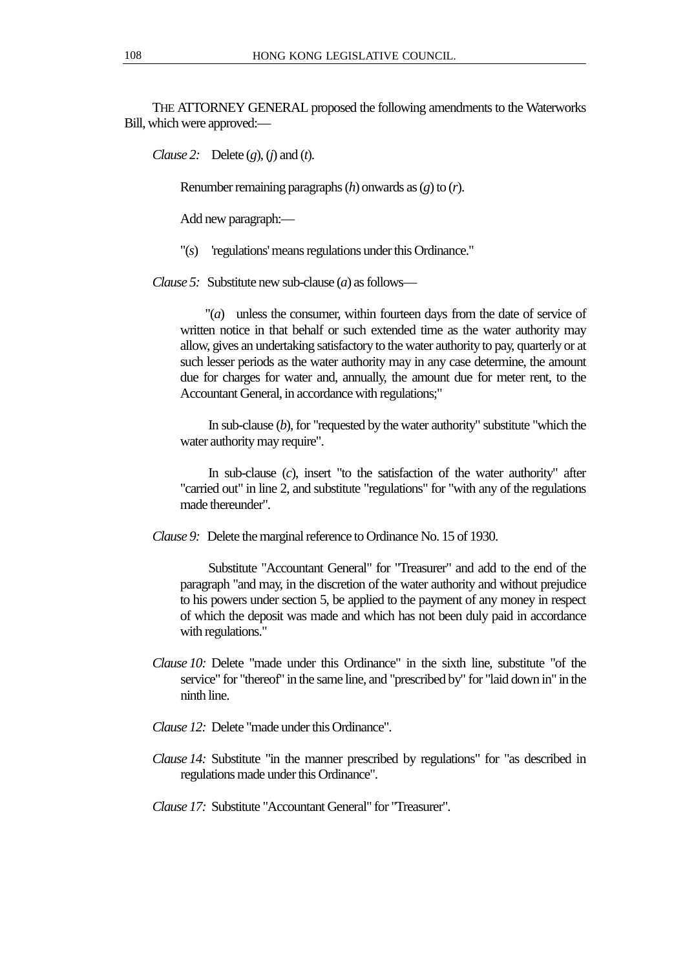THE ATTORNEY GENERAL proposed the following amendments to the Waterworks Bill, which were approved:—

*Clause 2:* Delete (*g*), (*j*) and (*t*).

Renumber remaining paragraphs (*h*) onwards as (*g*) to (*r*).

Add new paragraph:—

"(*s*) 'regulations' means regulations under this Ordinance."

*Clause 5:* Substitute new sub-clause (*a*) as follows—

"(*a*) unless the consumer, within fourteen days from the date of service of written notice in that behalf or such extended time as the water authority may allow, gives an undertaking satisfactory to the water authority to pay, quarterly or at such lesser periods as the water authority may in any case determine, the amount due for charges for water and, annually, the amount due for meter rent, to the Accountant General, in accordance with regulations;"

In sub-clause (*b*), for "requested by the water authority" substitute "which the water authority may require".

In sub-clause (*c*), insert "to the satisfaction of the water authority" after "carried out" in line 2, and substitute "regulations" for "with any of the regulations made thereunder".

*Clause 9:* Delete the marginal reference to Ordinance No. 15 of 1930.

Substitute "Accountant General" for "Treasurer" and add to the end of the paragraph "and may, in the discretion of the water authority and without prejudice to his powers under section 5, be applied to the payment of any money in respect of which the deposit was made and which has not been duly paid in accordance with regulations."

- *Clause 10:* Delete "made under this Ordinance" in the sixth line, substitute "of the service" for "thereof" in the same line, and "prescribed by" for "laid down in" in the ninth line.
- *Clause 12:* Delete "made under this Ordinance".
- *Clause 14:* Substitute "in the manner prescribed by regulations" for "as described in regulations made under this Ordinance".

*Clause 17:* Substitute "Accountant General" for "Treasurer".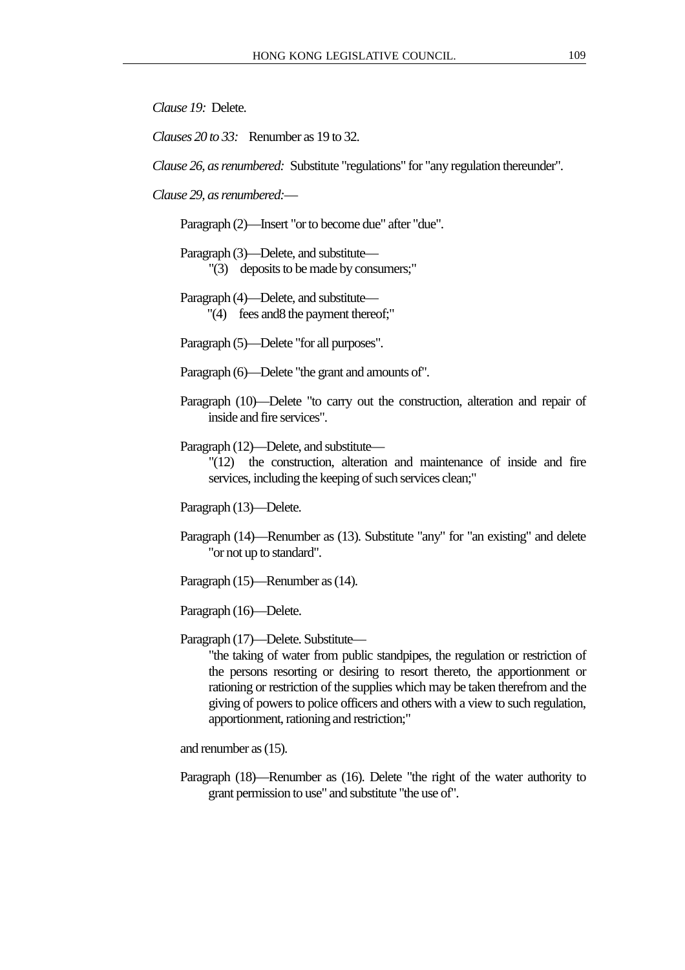*Clause 19:* Delete.

*Clauses 20 to 33:* Renumber as 19 to 32.

*Clause 26, as renumbered:* Substitute "regulations" for "any regulation thereunder".

*Clause 29, as renumbered:*—

Paragraph (2)—Insert "or to become due" after "due".

Paragraph (3)—Delete, and substitute—

"(3) deposits to be made by consumers;"

Paragraph (4)—Delete, and substitute— "(4) fees and8 the payment thereof;"

Paragraph (5)—Delete "for all purposes".

Paragraph (6)—Delete "the grant and amounts of".

Paragraph (10)—Delete "to carry out the construction, alteration and repair of inside and fire services".

Paragraph (12)—Delete, and substitute—

"(12) the construction, alteration and maintenance of inside and fire services, including the keeping of such services clean;"

Paragraph (13)—Delete.

Paragraph (14)—Renumber as (13). Substitute "any" for "an existing" and delete "or not up to standard".

Paragraph (15)—Renumber as (14).

Paragraph (16)—Delete.

Paragraph (17)—Delete. Substitute—

"the taking of water from public standpipes, the regulation or restriction of the persons resorting or desiring to resort thereto, the apportionment or rationing or restriction of the supplies which may be taken therefrom and the giving of powers to police officers and others with a view to such regulation, apportionment, rationing and restriction;"

and renumber as (15).

Paragraph (18)—Renumber as (16). Delete "the right of the water authority to grant permission to use" and substitute "the use of".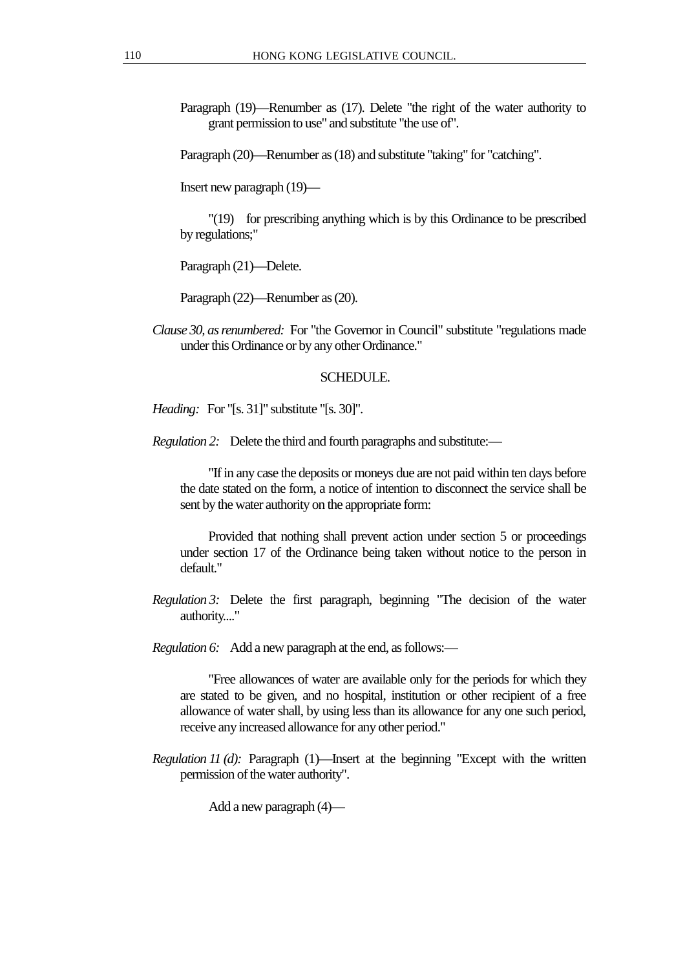Paragraph (19)—Renumber as (17). Delete "the right of the water authority to grant permission to use" and substitute "the use of".

Paragraph (20)—Renumber as (18) and substitute "taking" for "catching".

Insert new paragraph (19)—

"(19) for prescribing anything which is by this Ordinance to be prescribed by regulations;"

Paragraph (21)—Delete.

Paragraph (22)—Renumber as (20).

*Clause 30, as renumbered:* For "the Governor in Council" substitute "regulations made under this Ordinance or by any other Ordinance."

#### SCHEDULE.

*Heading:* For "[s. 31]" substitute "[s. 30]".

*Regulation 2:* Delete the third and fourth paragraphs and substitute:—

"If in any case the deposits or moneys due are not paid within ten days before the date stated on the form, a notice of intention to disconnect the service shall be sent by the water authority on the appropriate form:

Provided that nothing shall prevent action under section 5 or proceedings under section 17 of the Ordinance being taken without notice to the person in default."

*Regulation 3:* Delete the first paragraph, beginning "The decision of the water authority...."

*Regulation 6:* Add a new paragraph at the end, as follows:—

"Free allowances of water are available only for the periods for which they are stated to be given, and no hospital, institution or other recipient of a free allowance of water shall, by using less than its allowance for any one such period, receive any increased allowance for any other period."

*Regulation 11 (d):* Paragraph (1)—Insert at the beginning "Except with the written permission of the water authority".

Add a new paragraph  $(4)$ —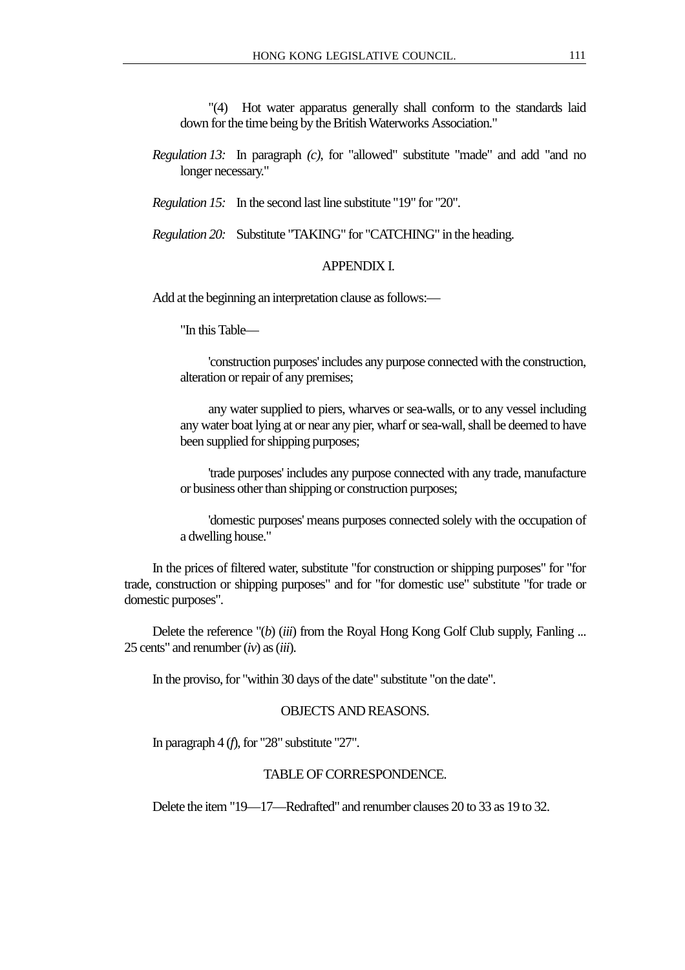"(4) Hot water apparatus generally shall conform to the standards laid down for the time being by the British Waterworks Association."

*Regulation 13:* In paragraph *(c)*, for "allowed" substitute "made" and add "and no longer necessary."

*Regulation 15:* In the second last line substitute "19" for "20".

*Regulation 20:* Substitute "TAKING" for "CATCHING" in the heading.

#### APPENDIX I.

Add at the beginning an interpretation clause as follows:—

"In this Table—

'construction purposes' includes any purpose connected with the construction, alteration or repair of any premises;

any water supplied to piers, wharves or sea-walls, or to any vessel including any water boat lying at or near any pier, wharf or sea-wall, shall be deemed to have been supplied for shipping purposes;

'trade purposes' includes any purpose connected with any trade, manufacture or business other than shipping or construction purposes;

'domestic purposes' means purposes connected solely with the occupation of a dwelling house."

In the prices of filtered water, substitute "for construction or shipping purposes" for "for trade, construction or shipping purposes" and for "for domestic use" substitute "for trade or domestic purposes".

Delete the reference "(*b*) (*iii*) from the Royal Hong Kong Golf Club supply, Fanling ... 25 cents" and renumber (*iv*) as (*iii*).

In the proviso, for "within 30 days of the date" substitute "on the date".

## OBJECTS AND REASONS.

In paragraph 4 (*f*), for "28" substitute "27".

## TABLE OF CORRESPONDENCE.

Delete the item "19—17—Redrafted" and renumber clauses 20 to 33 as 19 to 32.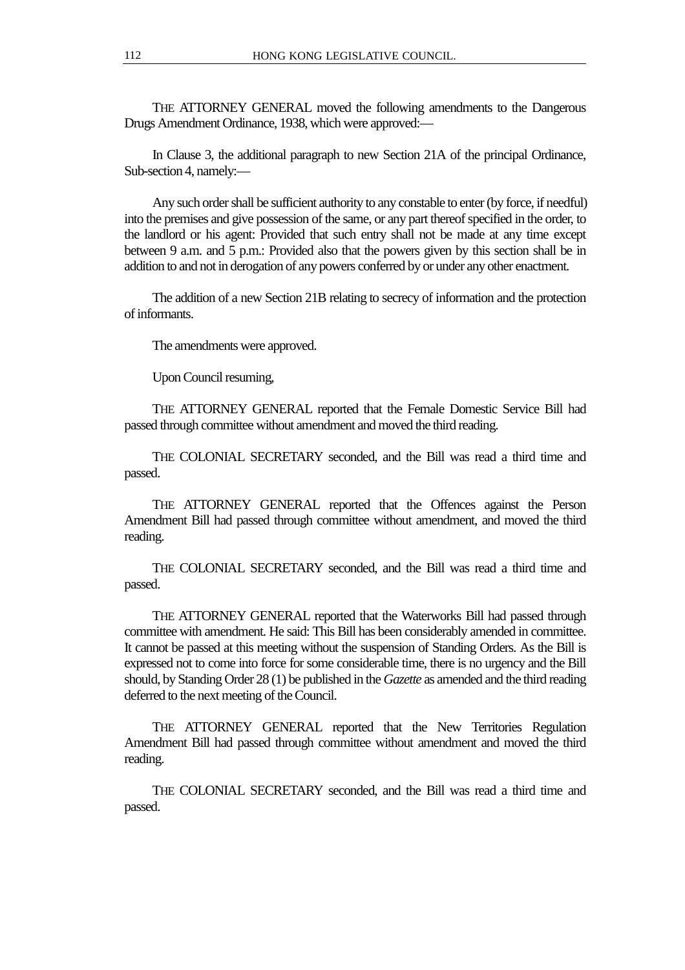THE ATTORNEY GENERAL moved the following amendments to the Dangerous Drugs Amendment Ordinance, 1938, which were approved:—

In Clause 3, the additional paragraph to new Section 21A of the principal Ordinance, Sub-section 4, namely:—

Any such order shall be sufficient authority to any constable to enter (by force, if needful) into the premises and give possession of the same, or any part thereof specified in the order, to the landlord or his agent: Provided that such entry shall not be made at any time except between 9 a.m. and 5 p.m.: Provided also that the powers given by this section shall be in addition to and not in derogation of any powers conferred by or under any other enactment.

The addition of a new Section 21B relating to secrecy of information and the protection of informants.

The amendments were approved.

Upon Council resuming,

THE ATTORNEY GENERAL reported that the Female Domestic Service Bill had passed through committee without amendment and moved the third reading.

THE COLONIAL SECRETARY seconded, and the Bill was read a third time and passed.

THE ATTORNEY GENERAL reported that the Offences against the Person Amendment Bill had passed through committee without amendment, and moved the third reading.

THE COLONIAL SECRETARY seconded, and the Bill was read a third time and passed.

THE ATTORNEY GENERAL reported that the Waterworks Bill had passed through committee with amendment. He said: This Bill has been considerably amended in committee. It cannot be passed at this meeting without the suspension of Standing Orders. As the Bill is expressed not to come into force for some considerable time, there is no urgency and the Bill should, by Standing Order 28 (1) be published in the *Gazette* as amended and the third reading deferred to the next meeting of the Council.

THE ATTORNEY GENERAL reported that the New Territories Regulation Amendment Bill had passed through committee without amendment and moved the third reading.

THE COLONIAL SECRETARY seconded, and the Bill was read a third time and passed.